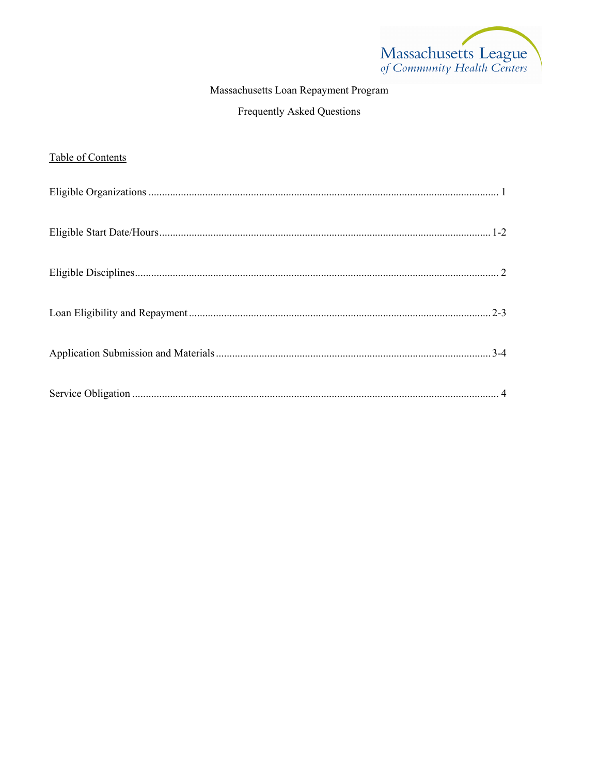

# Massachusetts Loan Repayment Program

# Frequently Asked Questions

# Table of Contents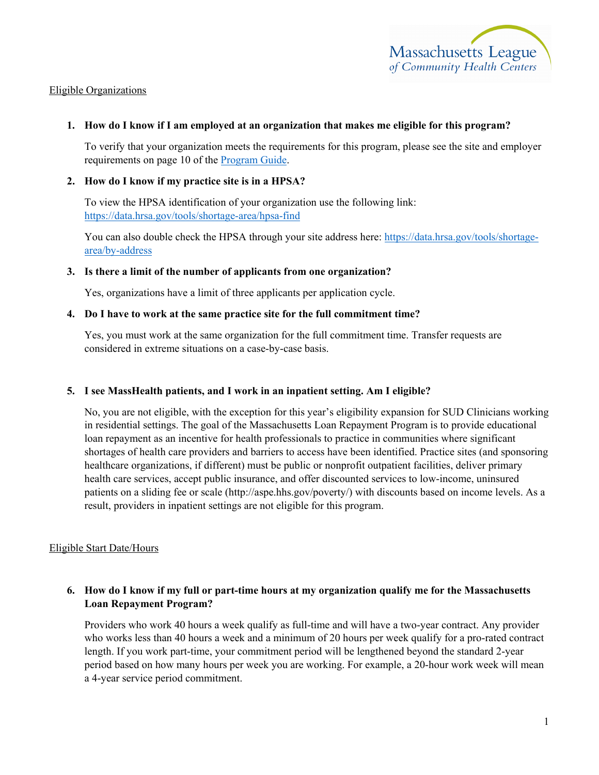# Eligible Organizations

# **1. How do I know if I am employed at an organization that makes me eligible for this program?**

To verify that your organization meets the requirements for this program, please see the site and employer requirements on page 10 of the [Program Guide.](https://massleague.org/Programs/WorkforceDevelopment/2022MLRPGuide.pdf)

# **2. How do I know if my practice site is in a HPSA?**

To view the HPSA identification of your organization use the following link: <https://data.hrsa.gov/tools/shortage-area/hpsa-find>

You can also double check the HPSA through your site address here: [https://data.hrsa.gov/tools/shortage](https://data.hrsa.gov/tools/shortage-area/by-address)[area/by-address](https://data.hrsa.gov/tools/shortage-area/by-address)

# **3. Is there a limit of the number of applicants from one organization?**

Yes, organizations have a limit of three applicants per application cycle.

# **4. Do I have to work at the same practice site for the full commitment time?**

Yes, you must work at the same organization for the full commitment time. Transfer requests are considered in extreme situations on a case-by-case basis.

# **5. I see MassHealth patients, and I work in an inpatient setting. Am I eligible?**

No, you are not eligible, with the exception for this year's eligibility expansion for SUD Clinicians working in residential settings. The goal of the Massachusetts Loan Repayment Program is to provide educational loan repayment as an incentive for health professionals to practice in communities where significant shortages of health care providers and barriers to access have been identified. Practice sites (and sponsoring healthcare organizations, if different) must be public or nonprofit outpatient facilities, deliver primary health care services, accept public insurance, and offer discounted services to low-income, uninsured patients on a sliding fee or scale (http://aspe.hhs.gov/poverty/) with discounts based on income levels. As a result, providers in inpatient settings are not eligible for this program.

# Eligible Start Date/Hours

# **6. How do I know if my full or part-time hours at my organization qualify me for the Massachusetts Loan Repayment Program?**

Providers who work 40 hours a week qualify as full-time and will have a two-year contract. Any provider who works less than 40 hours a week and a minimum of 20 hours per week qualify for a pro-rated contract length. If you work part-time, your commitment period will be lengthened beyond the standard 2-year period based on how many hours per week you are working. For example, a 20-hour work week will mean a 4-year service period commitment.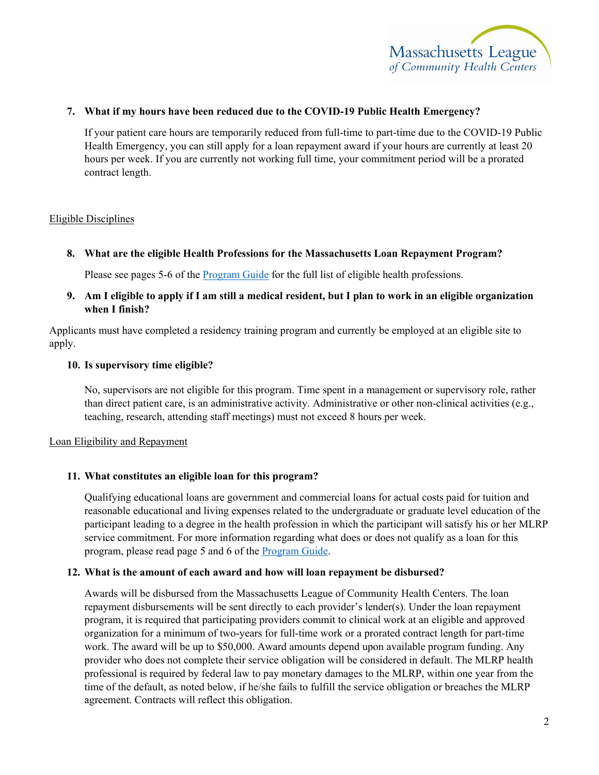

# **7. What if my hours have been reduced due to the COVID-19 Public Health Emergency?**

If your patient care hours are temporarily reduced from full-time to part-time due to the COVID-19 Public Health Emergency, you can still apply for a loan repayment award if your hours are currently at least 20 hours per week. If you are currently not working full time, your commitment period will be a prorated contract length.

### Eligible Disciplines

# **8. What are the eligible Health Professions for the Massachusetts Loan Repayment Program?**

Please see pages 5-6 of the [Program Guide](https://massleague.org/Programs/WorkforceDevelopment/2022MLRPGuide.pdf) for the full list of eligible health professions.

# **9. Am I eligible to apply if I am still a medical resident, but I plan to work in an eligible organization when I finish?**

Applicants must have completed a residency training program and currently be employed at an eligible site to apply.

### **10. Is supervisory time eligible?**

No, supervisors are not eligible for this program. Time spent in a management or supervisory role, rather than direct patient care, is an administrative activity. Administrative or other non-clinical activities (e.g., teaching, research, attending staff meetings) must not exceed 8 hours per week.

#### Loan Eligibility and Repayment

# **11. What constitutes an eligible loan for this program?**

Qualifying educational loans are government and commercial loans for actual costs paid for tuition and reasonable educational and living expenses related to the undergraduate or graduate level education of the participant leading to a degree in the health profession in which the participant will satisfy his or her MLRP service commitment. For more information regarding what does or does not qualify as a loan for this program, please read page 5 and 6 of the [Program Guide.](https://massleague.org/Programs/WorkforceDevelopment/2022MLRPGuide.pdf)

#### **12. What is the amount of each award and how will loan repayment be disbursed?**

Awards will be disbursed from the Massachusetts League of Community Health Centers. The loan repayment disbursements will be sent directly to each provider's lender(s). Under the loan repayment program, it is required that participating providers commit to clinical work at an eligible and approved organization for a minimum of two-years for full-time work or a prorated contract length for part-time work. The award will be up to \$50,000. Award amounts depend upon available program funding. Any provider who does not complete their service obligation will be considered in default. The MLRP health professional is required by federal law to pay monetary damages to the MLRP, within one year from the time of the default, as noted below, if he/she fails to fulfill the service obligation or breaches the MLRP agreement. Contracts will reflect this obligation.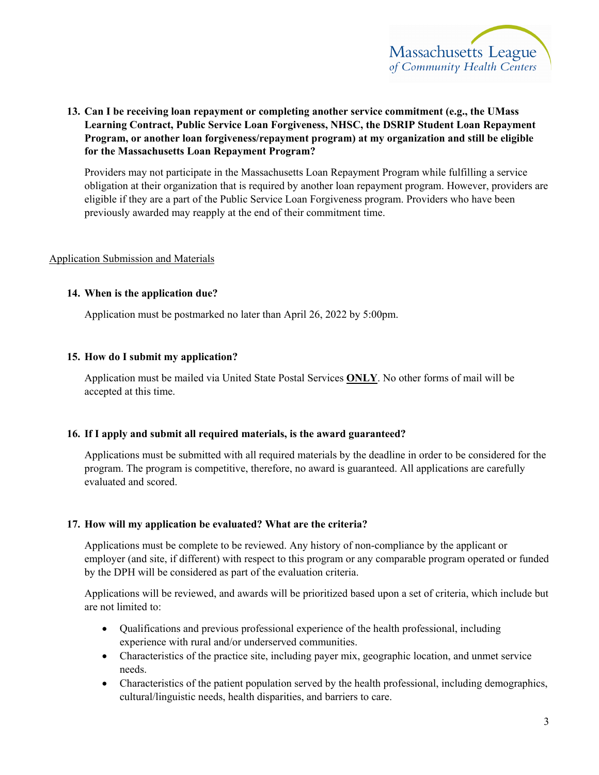

# **13. Can I be receiving loan repayment or completing another service commitment (e.g., the UMass Learning Contract, Public Service Loan Forgiveness, NHSC, the DSRIP Student Loan Repayment Program, or another loan forgiveness/repayment program) at my organization and still be eligible for the Massachusetts Loan Repayment Program?**

Providers may not participate in the Massachusetts Loan Repayment Program while fulfilling a service obligation at their organization that is required by another loan repayment program. However, providers are eligible if they are a part of the Public Service Loan Forgiveness program. Providers who have been previously awarded may reapply at the end of their commitment time.

# Application Submission and Materials

# **14. When is the application due?**

Application must be postmarked no later than April 26, 2022 by 5:00pm.

### **15. How do I submit my application?**

Application must be mailed via United State Postal Services **ONLY**. No other forms of mail will be accepted at this time.

### **16. If I apply and submit all required materials, is the award guaranteed?**

Applications must be submitted with all required materials by the deadline in order to be considered for the program. The program is competitive, therefore, no award is guaranteed. All applications are carefully evaluated and scored.

# **17. How will my application be evaluated? What are the criteria?**

Applications must be complete to be reviewed. Any history of non-compliance by the applicant or employer (and site, if different) with respect to this program or any comparable program operated or funded by the DPH will be considered as part of the evaluation criteria.

Applications will be reviewed, and awards will be prioritized based upon a set of criteria, which include but are not limited to:

- Qualifications and previous professional experience of the health professional, including experience with rural and/or underserved communities.
- Characteristics of the practice site, including payer mix, geographic location, and unmet service needs.
- Characteristics of the patient population served by the health professional, including demographics, cultural/linguistic needs, health disparities, and barriers to care.